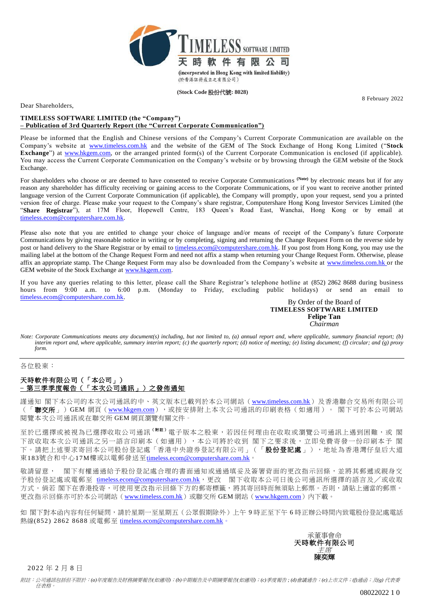

**(Stock Code** 股份代號**: 8028)**

8 February 2022

Dear Shareholders,

## **TIMELESS SOFTWARE LIMITED (the "Company") – Publication of 3rd Quarterly Report (the "Current Corporate Communication")**

Please be informed that the English and Chinese versions of the Company's Current Corporate Communication are available on the Company's website at [www.timeless.com.hk](http://www.timeless.com.hk/) and the website of the GEM of The Stock Exchange of Hong Kong Limited ("**Stock Exchange**") at [www.hkgem.com,](http://www.hkgem.com/) or the arranged printed form(s) of the Current Corporate Communication is enclosed (if applicable). You may access the Current Corporate Communication on the Company's website or by browsing through the GEM website of the Stock Exchange.

For shareholders who choose or are deemed to have consented to receive Corporate Communications (Note) by electronic means but if for any reason any shareholder has difficulty receiving or gaining access to the Corporate Communications, or if you want to receive another printed language version of the Current Corporate Communication (if applicable), the Company will promptly, upon your request, send you a printed version free of charge. Please make your request to the Company's share registrar, Computershare Hong Kong Investor Services Limited (the "**Share Registrar**"), at 17M Floor, Hopewell Centre, 183 Queen's Road East, Wanchai, Hong Kong or by email at [timeless.ecom@computershare.com.hk.](mailto:timeless.ecom@computershare.com.hk)

Please also note that you are entitled to change your choice of language and/or means of receipt of the Company's future Corporate Communications by giving reasonable notice in writing or by completing, signing and returning the Change Request Form on the reverse side by post or hand delivery to the Share Registrar or by email to [timeless.ecom@computershare.com.hk.](mailto:timeless.ecom@computershare.com.hk) If you post from Hong Kong, you may use the mailing label at the bottom of the Change Request Form and need not affix a stamp when returning your Change Request Form. Otherwise, please affix an appropriate stamp. The Change Request Form may also be downloaded from the Company's website at [www.timeless.com.hk](http://www.timeless.com.hk/) or the GEM website of the Stock Exchange at [www.hkgem.com.](http://www.hkgem.com/)

If you have any queries relating to this letter, please call the Share Registrar's telephone hotline at (852) 2862 8688 during business hours from 9:00 a.m. to 6:00 p.m. (Monday to Friday, excluding public holidays) or send an email to [timeless.ecom@computershare.com.hk.](mailto:timeless.ecom@computershare.com.hk)

## By Order of the Board of **TIMELESS SOFTWARE LIMITED Felipe Tan** *Chairman*

*Note: Corporate Communications means any document(s) including, but not limited to, (a) annual report and, where applicable, summary financial report; (b) interim report and, where applicable, summary interim report; (c) the quarterly report; (d) notice of meeting; (e) listing document; (f) circular; and (g) proxy form.*

各位股東:

## 天時軟件有限公司(「本公司」) **–** 第三季季度報告(「本次公司通訊」)之發佈通知

謹通知 閣下本公司的本次公司通訊的中、英文版本已載列於本公司網站 ([www.timeless.com.hk](http://www.timeless.com.hk/)) 及香港聯合交易所有限公司 (「聯交所」)GEM 網頁([www.hkgem.com](http://www.hkgem.com/)),或按安排附上本次公司通訊的印刷表格(如適用)。 閣下可於本公司網站 閱覽本次公司通訊或在聯交所 GEM 網頁瀏覽有關文件。

至於已選擇或被視為已選擇收取公司通訊<sup>(附註)</sup>電子版本之股東,若因任何理由在收取或瀏覽公司通訊上遇到困難,或 閣 下欲收取本次公司通訊之另一語言印刷本(如適用),本公司將於收到 閣下之要求後,立即免費寄發一份印刷本予 閣 下。請把上述要求寄回本公司股份登記處「香港中央證券登記有限公司」(「**股份登記處**」),地址為香港灣仔皇后大道 東183號合和中心17M樓或以電郵發送至[timeless.ecom@computershare.com.hk](mailto:timeless.ecom@computershare.com.hk)。

敬請留意, 閣下有權通過給予股份登記處合理的書面通知或通過填妥及簽署背面的更改指示回條,並將其郵遞或親身交 予股份登記處或電郵至 [timeless.ecom@computershare.com.hk](mailto:timeless.ecom@computershare.com.hk),更改 閣下收取本公司日後公司通訊所選擇的語言及/或收取 方式。倘若 閣下在香港投寄,可使用更改指示回條下方的郵寄標籤,將其寄回時而無須貼上郵票。否則,請貼上適當的郵票。 更改指示回條亦可於本公司網站 ([www.timeless.com.hk](http://www.timeless.com.hk/))或聯交所 GEM 網站 ([www.hkgem.com](http://www.hkgem.com/)) 内下載。

如 閣下對本函內容有任何疑問,請於星期一至星期五(公眾假期除外)上午 9 時正至下午 6 時正辦公時間內致電股份登記處電話 熱線(852) 2862 8688 或電郵至 [timeless.ecom@computershare.com.hk](mailto:timeless.ecom@computershare.com.hk)。



2022 年 2 月 8 日

附註:公司通訊包括但不限於:*(a)*年度報告及財務摘要報告*(*如適用*)*;*(b)*中期報告及中期摘要報告*(*如適用*)*;*(c)*季度報告 *; (d)*會議通告;*(e)*上市文件;*(f)*通函;及*(g)* 代表委 任表格。